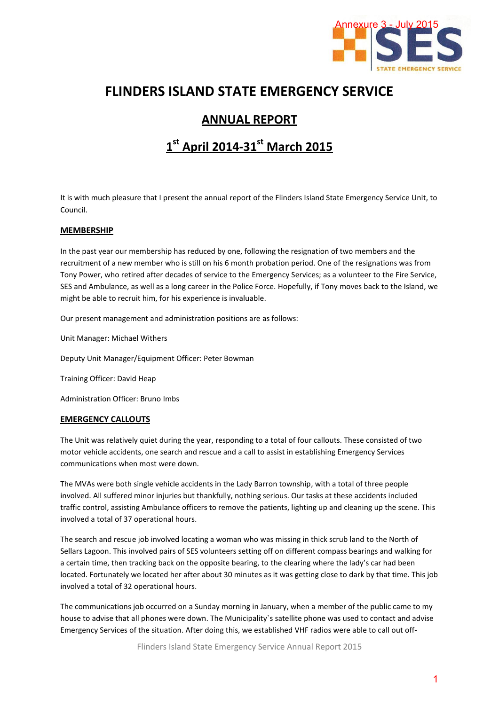

# **FLINDERS ISLAND STATE EMERGENCY SERVICE**

# **ANNUAL REPORT**

# **1 st April 2014-31st March 2015**

It is with much pleasure that I present the annual report of the Flinders Island State Emergency Service Unit, to Council.

## **MEMBERSHIP**

In the past year our membership has reduced by one, following the resignation of two members and the recruitment of a new member who is still on his 6 month probation period. One of the resignations was from Tony Power, who retired after decades of service to the Emergency Services; as a volunteer to the Fire Service, SES and Ambulance, as well as a long career in the Police Force. Hopefully, if Tony moves back to the Island, we might be able to recruit him, for his experience is invaluable. Annexure 3 - July 2015<br>
STATE EMERGENCY<br>
STATE EMERGENCY<br>
STATE EMERGENCY<br>
STATE EMERGENCY<br>
A STATE EMERGENCY<br>
THE EMERGENCY<br>
STATE EMERGENCY<br>
TO THE SEVICE<br>
THE SEVICE<br>
THE SEVICE<br>
THE SEVICE<br>
THE SEVICE<br>
THE SEVICE<br>
THE

Our present management and administration positions are as follows:

Unit Manager: Michael Withers

Deputy Unit Manager/Equipment Officer: Peter Bowman

Training Officer: David Heap

Administration Officer: Bruno Imbs

#### **EMERGENCY CALLOUTS**

The Unit was relatively quiet during the year, responding to a total of four callouts. These consisted of two motor vehicle accidents, one search and rescue and a call to assist in establishing Emergency Services communications when most were down.

The MVAs were both single vehicle accidents in the Lady Barron township, with a total of three people involved. All suffered minor injuries but thankfully, nothing serious. Our tasks at these accidents included traffic control, assisting Ambulance officers to remove the patients, lighting up and cleaning up the scene. This involved a total of 37 operational hours.

The search and rescue job involved locating a woman who was missing in thick scrub land to the North of Sellars Lagoon. This involved pairs of SES volunteers setting off on different compass bearings and walking for a certain time, then tracking back on the opposite bearing, to the clearing where the lady's car had been located. Fortunately we located her after about 30 minutes as it was getting close to dark by that time. This job involved a total of 32 operational hours.

The communications job occurred on a Sunday morning in January, when a member of the public came to my house to advise that all phones were down. The Municipality`s satellite phone was used to contact and advise Emergency Services of the situation. After doing this, we established VHF radios were able to call out off-

Flinders Island State Emergency Service Annual Report 2015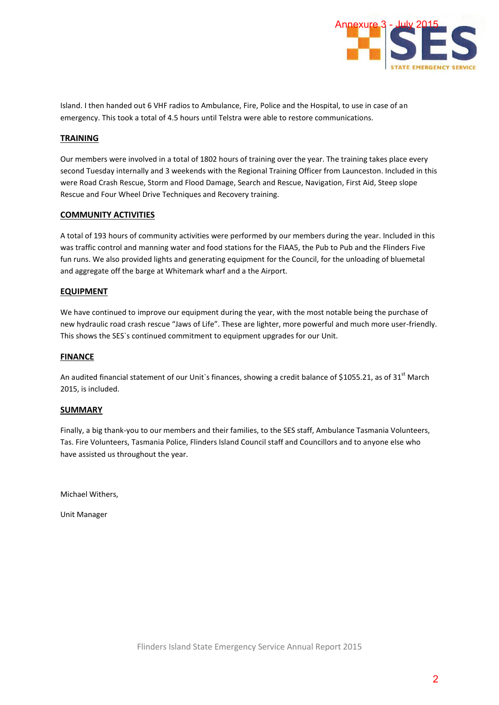

Island. I then handed out 6 VHF radios to Ambulance, Fire, Police and the Hospital, to use in case of an emergency. This took a total of 4.5 hours until Telstra were able to restore communications.

# **TRAINING**

Our members were involved in a total of 1802 hours of training over the year. The training takes place every second Tuesday internally and 3 weekends with the Regional Training Officer from Launceston. Included in this were Road Crash Rescue, Storm and Flood Damage, Search and Rescue, Navigation, First Aid, Steep slope Rescue and Four Wheel Drive Techniques and Recovery training.

## **COMMUNITY ACTIVITIES**

A total of 193 hours of community activities were performed by our members during the year. Included in this was traffic control and manning water and food stations for the FIAA5, the Pub to Pub and the Flinders Five fun runs. We also provided lights and generating equipment for the Council, for the unloading of bluemetal and aggregate off the barge at Whitemark wharf and a the Airport.

## **EQUIPMENT**

We have continued to improve our equipment during the year, with the most notable being the purchase of new hydraulic road crash rescue "Jaws of Life". These are lighter, more powerful and much more user-friendly. This shows the SES`s continued commitment to equipment upgrades for our Unit.

# **FINANCE**

An audited financial statement of our Unit's finances, showing a credit balance of \$1055.21, as of 31<sup>st</sup> March 2015, is included.

#### **SUMMARY**

Finally, a big thank-you to our members and their families, to the SES staff, Ambulance Tasmania Volunteers, Tas. Fire Volunteers, Tasmania Police, Flinders Island Council staff and Councillors and to anyone else who have assisted us throughout the year.

Michael Withers,

Unit Manager